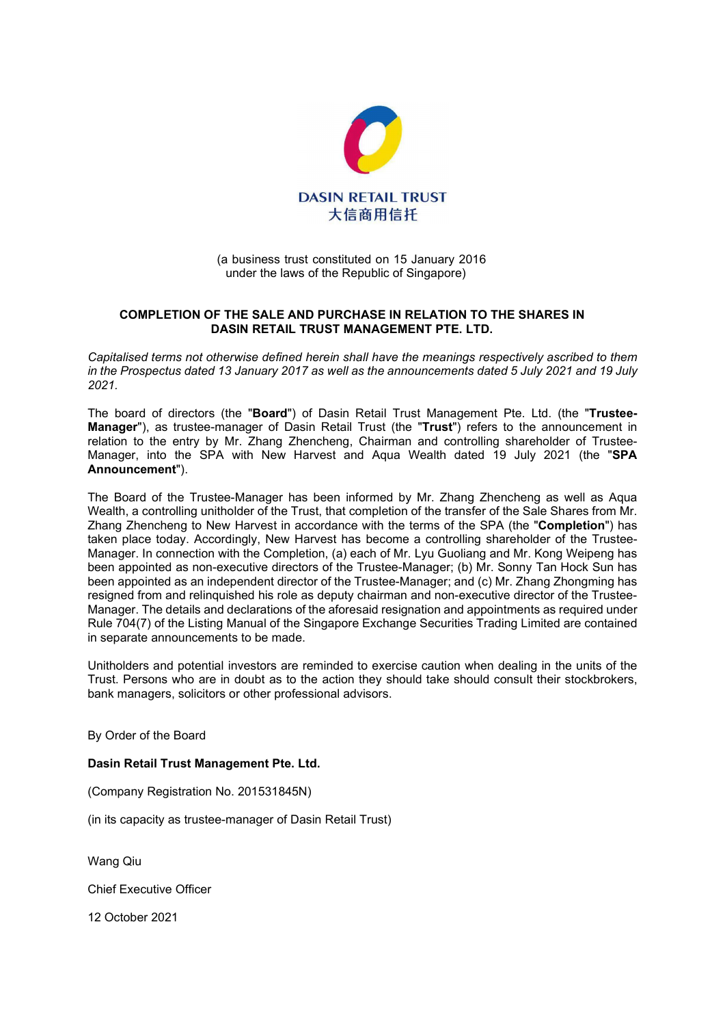

## (a business trust constituted on 15 January 2016 under the laws of the Republic of Singapore)

## COMPLETION OF THE SALE AND PURCHASE IN RELATION TO THE SHARES IN DASIN RETAIL TRUST MANAGEMENT PTE. LTD.

Capitalised terms not otherwise defined herein shall have the meanings respectively ascribed to them in the Prospectus dated 13 January 2017 as well as the announcements dated 5 July 2021 and 19 July 2021.

The board of directors (the "Board") of Dasin Retail Trust Management Pte. Ltd. (the "Trustee-Manager"), as trustee-manager of Dasin Retail Trust (the "Trust") refers to the announcement in relation to the entry by Mr. Zhang Zhencheng, Chairman and controlling shareholder of Trustee-Manager, into the SPA with New Harvest and Aqua Wealth dated 19 July 2021 (the "SPA Announcement").

The Board of the Trustee-Manager has been informed by Mr. Zhang Zhencheng as well as Aqua Wealth, a controlling unitholder of the Trust, that completion of the transfer of the Sale Shares from Mr. Zhang Zhencheng to New Harvest in accordance with the terms of the SPA (the "Completion") has taken place today. Accordingly, New Harvest has become a controlling shareholder of the Trustee-Manager. In connection with the Completion, (a) each of Mr. Lyu Guoliang and Mr. Kong Weipeng has been appointed as non-executive directors of the Trustee-Manager; (b) Mr. Sonny Tan Hock Sun has been appointed as an independent director of the Trustee-Manager; and (c) Mr. Zhang Zhongming has resigned from and relinquished his role as deputy chairman and non-executive director of the Trustee-Manager. The details and declarations of the aforesaid resignation and appointments as required under Rule 704(7) of the Listing Manual of the Singapore Exchange Securities Trading Limited are contained in separate announcements to be made.

Unitholders and potential investors are reminded to exercise caution when dealing in the units of the Trust. Persons who are in doubt as to the action they should take should consult their stockbrokers, bank managers, solicitors or other professional advisors.

By Order of the Board

## Dasin Retail Trust Management Pte. Ltd.

(Company Registration No. 201531845N)

(in its capacity as trustee-manager of Dasin Retail Trust)

Wang Qiu

Chief Executive Officer

12 October 2021